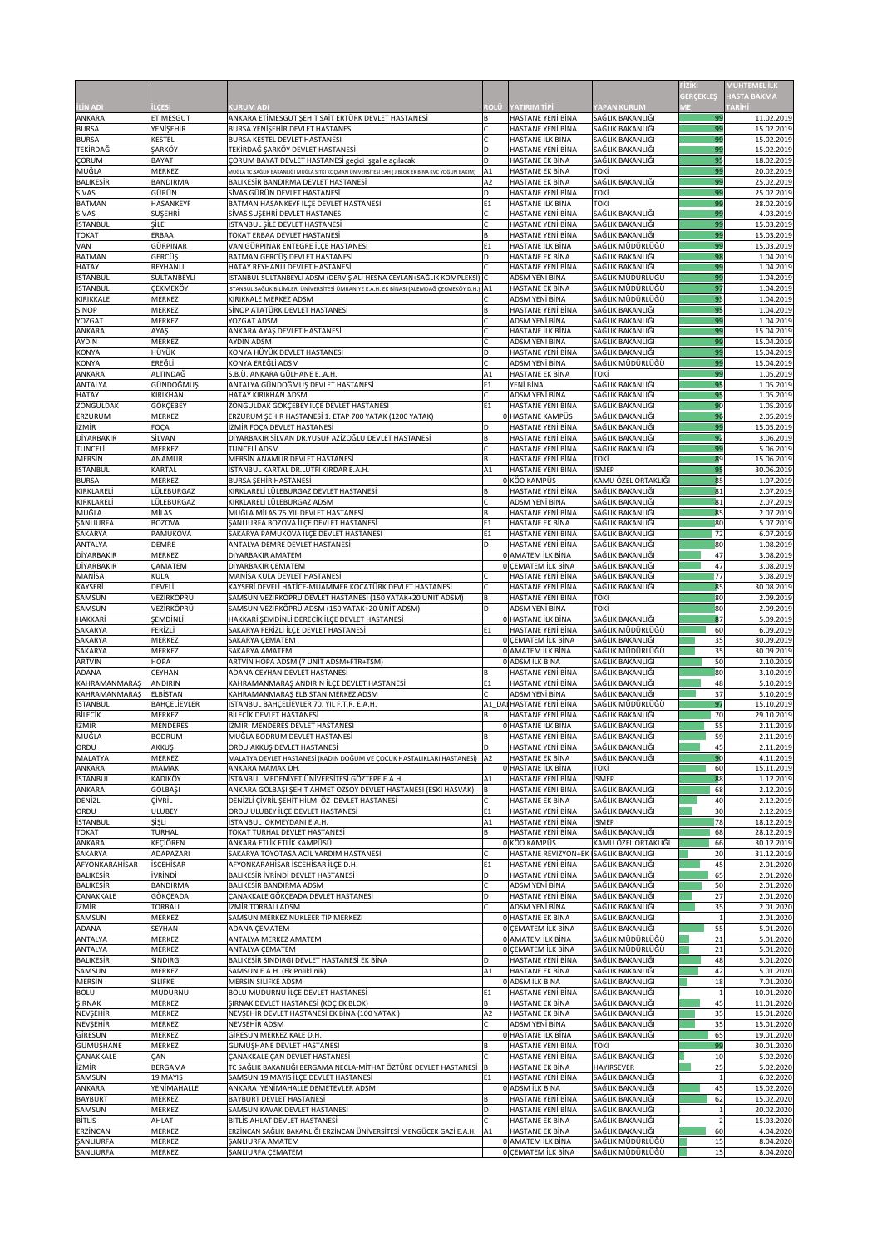|                                       |                                    |                                                                                                                                                        |                |                                                      |                                       | FİZİKİ           | <b>MUHTEMEL İLK</b>                 |
|---------------------------------------|------------------------------------|--------------------------------------------------------------------------------------------------------------------------------------------------------|----------------|------------------------------------------------------|---------------------------------------|------------------|-------------------------------------|
| <b>İLİN ADI</b>                       | <b>ILCESI</b>                      | <b>KURUM ADI</b>                                                                                                                                       | <b>ROLÜ</b>    | <b>YATIRIM TIPI</b>                                  | <b>YAPAN KURUM</b>                    | <b>GERÇEKLEŞ</b> | <b>HASTA BAKMA</b><br><b>TARİHİ</b> |
| ANKARA                                | <b>ETİMESGUT</b>                   | ANKARA ETİMESGUT ŞEHİT SAİT ERTÜRK DEVLET HASTANESİ                                                                                                    |                | <b>HASTANE YENİ BİNA</b>                             | SAĞLIK BAKANLIĞI                      | 99               | 11.02.2019                          |
| <b>BURSA</b><br><b>BURSA</b>          | YENİŞEHİR<br><b>KESTEL</b>         | <b>BURSA YENİŞEHİR DEVLET HASTANESİ</b><br><b>BURSA KESTEL DEVLET HASTANESİ</b>                                                                        |                | <b>HASTANE YENİ BİNA</b><br><b>HASTANE İLK BİNA</b>  | SAĞLIK BAKANLIĞI<br>SAĞLIK BAKANLIĞI  | 99<br>99         | 15.02.2019<br>15.02.2019            |
| <b>TEKİRDAĞ</b>                       | <b>SARKÖY</b>                      | TEKİRDAĞ ŞARKÖY DEVLET HASTANESİ                                                                                                                       |                | <b>HASTANE YENİ BİNA</b>                             | SAĞLIK BAKANLIĞI                      | 99               | 15.02.2019                          |
| <b>ÇORUM</b><br>MUĞLA                 | <b>BAYAT</b><br><b>MERKEZ</b>      | CORUM BAYAT DEVLET HASTANESI geçici işgalle açılacak<br>MUĞLA TC.SAĞLIK BAKANLIĞI MUĞLA SITKI KOÇMAN ÜNİVERSİTESİ EAH (J BLOK EK BİNA KVC YOĞUN BAKIM) | D<br>A1        | <b>HASTANE EK BİNA</b><br><b>HASTANE EK BINA</b>     | SAĞLIK BAKANLIĞI<br>токі              | 95<br>99         | 18.02.2019<br>20.02.2019            |
| <b>BALIKESIR</b>                      | <b>BANDIRMA</b>                    | <b>BALIKESIR BANDIRMA DEVLET HASTANESI</b>                                                                                                             | A2             | <b>HASTANE EK BİNA</b>                               | SAĞLIK BAKANLIĞI                      | 99               | 25.02.2019                          |
| <b>SİVAS</b><br><b>BATMAN</b>         | GÜRÜN<br>HASANKEYF                 | SİVAS GÜRÜN DEVLET HASTANESİ<br>BATMAN HASANKEYF İLÇE DEVLET HASTANESİ                                                                                 | E1             | <b>HASTANE YENİ BİNA</b><br><b>HASTANE İLK BİNA</b>  | ТОКІ<br>токі                          | 99<br>99         | 25.02.2019<br>28.02.2019            |
| <b>SIVAS</b>                          | <b>SUŞEHRİ</b>                     | SİVAS SUŞEHRİ DEVLET HASTANESİ                                                                                                                         |                | <b>HASTANE YENİ BİNA</b>                             | SAĞLIK BAKANLIĞI                      | 99               | 4.03.2019                           |
| <b>İSTANBUL</b><br><b>TOKAT</b>       | <b>SİLE</b><br>ERBAA               | İSTANBUL ŞİLE DEVLET HASTANESİ<br>TOKAT ERBAA DEVLET HASTANESİ                                                                                         |                | HASTANE YENİ BİNA<br><b>HASTANE YENİ BİNA</b>        | SAĞLIK BAKANLIĞI<br>SAĞLIK BAKANLIĞI  | 99<br>99         | 15.03.2019<br>15.03.2019            |
| <b>VAN</b>                            | <b>GÜRPINAR</b>                    | VAN GÜRPINAR ENTEGRE İLÇE HASTANESİ                                                                                                                    | E1             | <b>HASTANE İLK BİNA</b>                              | SAĞLIK MÜDÜRLÜĞÜ                      | 99               | 15.03.2019                          |
| <b>BATMAN</b>                         | <b>GERCÜŞ</b>                      | BATMAN GERCÜŞ DEVLET HASTANESİ                                                                                                                         |                | <b>HASTANE EK BİNA</b>                               | SAĞLIK BAKANLIĞI                      | 98               | 1.04.2019                           |
| <b>HATAY</b><br><b>İSTANBUL</b>       | REYHANLI<br>SULTANBEYLİ            | HATAY REYHANLI DEVLET HASTANESİ<br>İSTANBUL SULTANBEYLİ ADSM (DERVİŞ ALİ-HESNA CEYLAN+SAĞLIK KOMPLEKSİ) C                                              |                | <b>HASTANE YENİ BİNA</b><br><b>ADSM YENİ BİNA</b>    | SAĞLIK BAKANLIĞI<br>SAĞLIK MÜDÜRLÜĞÜ  | 99<br>99         | 1.04.2019<br>1.04.2019              |
| <b>İSTANBUL</b>                       | <b>CEKMEKÖY</b>                    | İSTANBUL SAĞLIK BİLİMLERİ ÜNİVERSİTESİ ÜMRANİYE E.A.H. EK BİNASI (ALEMDAĞ ÇEKMEKÖY D.H.) $\bm{ }\mathsf{A}\mathsf{1}$                                  |                | <b>HASTANE EK BİNA</b>                               | SAĞLIK MÜDÜRLÜĞÜ                      | 97               | 1.04.2019                           |
| KIRIKKALE<br><b>SINOP</b>             | <b>MERKEZ</b><br><b>MERKEZ</b>     | KIRIKKALE MERKEZ ADSM<br>SİNOP ATATÜRK DEVLET HASTANESİ                                                                                                |                | <b>ADSM YENİ BİNA</b><br><b>HASTANE YENİ BİNA</b>    | SAĞLIK MÜDÜRLÜĞÜ<br>SAĞLIK BAKANLIĞI  | 93<br>95         | 1.04.2019<br>1.04.2019              |
| <b>YOZGAT</b>                         | <b>MERKEZ</b>                      | YOZGAT ADSM                                                                                                                                            |                | <b>ADSM YENİ BİNA</b>                                | SAĞLIK BAKANLIĞI                      | 99               | 1.04.2019                           |
| ANKARA<br><b>AYDIN</b>                | AYAŞ<br><b>MERKEZ</b>              | ANKARA AYAŞ DEVLET HASTANESİ<br><b>AYDIN ADSM</b>                                                                                                      |                | <b>HASTANE İLK BİNA</b><br><b>ADSM YENİ BİNA</b>     | SAĞLIK BAKANLIĞI<br>SAĞLIK BAKANLIĞI  | 99<br>99         | 15.04.2019<br>15.04.2019            |
| <b>KONYA</b>                          | HÜYÜK                              | KONYA HÜYÜK DEVLET HASTANESİ                                                                                                                           |                | <b>HASTANE YENİ BİNA</b>                             | SAĞLIK BAKANLIĞI                      | 99               | 15.04.2019                          |
| <b>KONYA</b><br>ANKARA                | EREĞLİ<br>ALTINDAĞ                 | KONYA EREĞLİ ADSM<br>S.B.Ü. ANKARA GÜLHANE EA.H.                                                                                                       | A1             | <b>ADSM YENİ BİNA</b><br><b>HASTANE EK BİNA</b>      | SAĞLIK MÜDÜRLÜĞÜ<br>токі              | 99<br>99         | 15.04.2019                          |
| <b>ANTALYA</b>                        | GÜNDOĞMUŞ                          | ANTALYA GÜNDOĞMUŞ DEVLET HASTANESİ                                                                                                                     | E1             | YENİ BİNA                                            | SAĞLIK BAKANLIĞI                      | 95               | 1.05.2019<br>1.05.2019              |
| <b>HATAY</b>                          | <b>KIRIKHAN</b>                    | <b>HATAY KIRIKHAN ADSM</b>                                                                                                                             |                | <b>ADSM YENİ BİNA</b>                                | SAĞLIK BAKANLIĞI                      | 95               | 1.05.2019                           |
| <b>ZONGULDAK</b><br><b>ERZURUM</b>    | <b>GÖKÇEBEY</b><br><b>MERKEZ</b>   | ZONGULDAK GÖKÇEBEY İLÇE DEVLET HASTANESİ<br>ERZURUM ŞEHİR HASTANESİ 1. ETAP 700 YATAK (1200 YATAK)                                                     | E <sub>1</sub> | <b>HASTANE YENİ BİNA</b><br>0 HASTANE KAMPÜS         | SAĞLIK BAKANLIĞI<br>SAĞLIK BAKANLIĞI  | 90<br>96         | 1.05.2019<br>2.05.2019              |
| <b>İZMİR</b>                          | <b>FOÇA</b>                        | IZMIR FOÇA DEVLET HASTANESI                                                                                                                            |                | <b>HASTANE YENİ BİNA</b>                             | SAĞLIK BAKANLIĞI                      | 99               | 15.05.2019                          |
| <b>DİYARBAKIR</b><br><b>TUNCELI</b>   | <b>SİLVAN</b><br><b>MERKEZ</b>     | DİYARBAKIR SİLVAN DR.YUSUF AZİZOĞLU DEVLET HASTANESİ<br><b>TUNCELİ ADSM</b>                                                                            |                | HASTANE YENİ BİNA<br><b>HASTANE YENİ BİNA</b>        | SAĞLIK BAKANLIĞI<br>SAĞLIK BAKANLIĞI  | 92<br>99         | 3.06.2019<br>5.06.2019              |
| <b>MERSIN</b>                         | <b>ANAMUR</b>                      | MERSIN ANAMUR DEVLET HASTANESI                                                                                                                         |                | <b>HASTANE YENİ BİNA</b>                             | токі                                  | 89               | 15.06.2019                          |
| <b>İSTANBUL</b>                       | <b>KARTAL</b>                      | İSTANBUL KARTAL DR.LÜTFİ KIRDAR E.A.H.                                                                                                                 | A1             | <b>HASTANE YENİ BİNA</b>                             | <b>İSMEP</b><br>KAMU ÖZEL ORTAKLIĞI   | 95               | 30.06.2019                          |
| <b>BURSA</b><br>KIRKLARELİ            | <b>MERKEZ</b><br>LÜLEBURGAZ        | <b>BURSA ŞEHİR HASTANESİ</b><br>KIRKLARELİ LÜLEBURGAZ DEVLET HASTANESİ                                                                                 |                | 0 KÖO KAMPÜS<br>HASTANE YENİ BİNA                    | SAĞLIK BAKANLIĞI                      | 85<br>81         | 1.07.2019<br>2.07.2019              |
| KIRKLARELİ                            | LÜLEBURGAZ                         | KIRKLARELİ LÜLEBURGAZ ADSM                                                                                                                             |                | <b>ADSM YENİ BİNA</b>                                | SAĞLIK BAKANLIĞI                      | 81               | 2.07.2019                           |
| MUĞLA<br><b>ŞANLIURFA</b>             | <b>MİLAS</b><br><b>BOZOVA</b>      | MUĞLA MİLAS 75.YIL DEVLET HASTANESİ<br>SANLIURFA BOZOVA İLÇE DEVLET HASTANESİ                                                                          | E <sub>1</sub> | <b>HASTANE YENİ BİNA</b><br><b>HASTANE EK BİNA</b>   | SAĞLIK BAKANLIĞI<br>SAĞLIK BAKANLIĞI  | 85<br>80         | 2.07.2019<br>5.07.2019              |
| <b>SAKARYA</b>                        | PAMUKOVA                           | SAKARYA PAMUKOVA İLÇE DEVLET HASTANESİ                                                                                                                 | E <sub>1</sub> | <b>HASTANE YENİ BİNA</b>                             | SAĞLIK BAKANLIĞI                      | 72               | 6.07.2019                           |
| <b>ANTALYA</b><br><b>DİYARBAKIR</b>   | <b>DEMRE</b><br><b>MERKEZ</b>      | ANTALYA DEMRE DEVLET HASTANESİ<br>DİYARBAKIR AMATEM                                                                                                    | D.             | <b>HASTANE YENİ BİNA</b><br>0 AMATEM ILK BINA        | SAĞLIK BAKANLIĞI<br>SAĞLIK BAKANLIĞI  | 80<br>47         | 1.08.2019<br>3.08.2019              |
| <b>DİYARBAKIR</b>                     | <b>ÇAMATEM</b>                     | DİYARBAKIR ÇEMATEM                                                                                                                                     |                | 0 CEMATEM ILK BINA                                   | SAĞLIK BAKANLIĞI                      | 47               | 3.08.2019                           |
| <b>MANISA</b><br><b>KAYSERİ</b>       | <b>KULA</b><br><b>DEVELI</b>       | MANISA KULA DEVLET HASTANESI<br>KAYSERİ DEVELİ HATİCE-MUAMMER KOCATÜRK DEVLET HASTANESİ                                                                |                | <b>HASTANE YENİ BİNA</b><br><b>HASTANE YENİ BİNA</b> | SAĞLIK BAKANLIĞI<br>SAĞLIK BAKANLIĞI  | 77<br>85         | 5.08.2019                           |
| SAMSUN                                | VEZİRKÖPRÜ                         | SAMSUN VEZİRKÖPRÜ DEVLET HASTANESİ (150 YATAK+20 ÜNİT ADSM)                                                                                            | B              | HASTANE YENİ BİNA                                    | токі                                  | 80               | 30.08.2019<br>2.09.2019             |
| SAMSUN                                | VEZİRKÖPRÜ                         | SAMSUN VEZİRKÖPRÜ ADSM (150 YATAK+20 ÜNİT ADSM)                                                                                                        |                | <b>ADSM YENİ BİNA</b>                                | токі                                  | 80               | 2.09.2019                           |
| <b>HAKKARİ</b><br><b>SAKARYA</b>      | <b>SEMDINLI</b><br>FERİZLİ         | HAKKARİ ŞEMDİNLİ DERECİK İLÇE DEVLET HASTANESİ<br>SAKARYA FERİZLİ İLÇE DEVLET HASTANESİ                                                                | E <sub>1</sub> | 0 HASTANE İLK BİNA<br><b>HASTANE YENİ BİNA</b>       | SAĞLIK BAKANLIĞI<br>SAĞLIK MÜDÜRLÜĞÜ  | 87<br>60         | 5.09.2019<br>6.09.2019              |
| <b>SAKARYA</b>                        | <b>MERKEZ</b>                      | SAKARYA ÇEMATEM                                                                                                                                        |                | O CEMATEM ILK BINA                                   | SAĞLIK BAKANLIĞI                      | 35               | 30.09.2019                          |
| SAKARYA<br><b>ARTVIN</b>              | <b>MERKEZ</b><br><b>HOPA</b>       | SAKARYA AMATEM<br>ARTVİN HOPA ADSM (7 ÜNİT ADSM+FTR+TSM)                                                                                               |                | 0 AMATEM İLK BİNA<br><b>O</b> ADSM ILK BINA          | SAĞLIK MÜDÜRLÜĞÜ<br>SAĞLIK BAKANLIĞI  | 35<br>50         | 30.09.2019<br>2.10.2019             |
| <b>ADANA</b>                          | <b>CEYHAN</b>                      | ADANA CEYHAN DEVLET HASTANESİ                                                                                                                          |                | <b>HASTANE YENİ BİNA</b>                             | SAĞLIK BAKANLIĞI                      | 80               | 3.10.2019                           |
| KAHRAMANMARAŞ<br><b>KAHRAMANMARAŞ</b> | <b>ANDIRIN</b><br>ELBISTAN         | KAHRAMANMARAŞ ANDIRIN İLÇE DEVLET HASTANESİ<br>KAHRAMANMARAŞ ELBİSTAN MERKEZ ADSM                                                                      | E1             | <b>HASTANE YENİ BİNA</b><br>ADSM YENİ BİNA           | SAĞLIK BAKANLIĞI<br>SAĞLIK BAKANLIĞI  | 48<br>37         | 5.10.2019<br>5.10.2019              |
| <b>İSTANBUL</b>                       | <b>BAHÇELIEVLER</b>                | ISTANBUL BAHÇELIEVLER 70. YIL F.T.R. E.A.H.                                                                                                            |                | A1 DAI HASTANE YENI BİNA                             | SAĞLIK MÜDÜRLÜĞÜ                      | 97               | 15.10.2019                          |
| <b>BİLECİK</b><br><b>İZMİR</b>        | <b>MERKEZ</b><br><b>MENDERES</b>   | BILECIK DEVLET HASTANESI<br><b>İZMİR MENDERES DEVLET HASTANESİ</b>                                                                                     |                | <b>HASTANE YENİ BİNA</b><br>O HASTANE İLK BİNA       | SAĞLIK BAKANLIĞI<br>SAĞLIK BAKANLIĞI  | 70<br>55         | 29.10.2019                          |
| MUĞLA                                 | <b>BODRUM</b>                      | MUĞLA BODRUM DEVLET HASTANESİ                                                                                                                          |                | <b>HASTANE YENİ BİNA</b>                             | SAĞLIK BAKANLIĞI                      | 59               | 2.11.2019<br>2.11.2019              |
| <b>ORDU</b>                           | <b>AKKUŞ</b>                       | <b>ORDU AKKUŞ DEVLET HASTANESİ</b>                                                                                                                     |                | <b>HASTANE YENİ BİNA</b>                             | SAĞLIK BAKANLIĞI                      | 45               | 2.11.2019                           |
| <b>MALATYA</b><br>ANKARA              | <b>MERKEZ</b><br><b>MAMAK</b>      | MALATYA DEVLET HASTANESİ (KADIN DOĞUM VE ÇOCUK HASTALIKLARI HASTANESİ) A2<br>ANKARA MAMAK DH.                                                          |                | <b>HASTANE EK BİNA</b><br>O HASTANE ILK BINA         | SAĞLIK BAKANLIĞI<br>ТОКІ              | 90<br>60         | 4.11.2019<br>15.11.2019             |
| <b>İSTANBUL</b>                       | <b>KADIKÖY</b>                     | İSTANBUL MEDENİYET ÜNİVERSİTESİ GÖZTEPE E.A.H.                                                                                                         | A1             | <b>HASTANE YENİ BİNA</b>                             | <b>İSMEP</b>                          | 88               | 1.12.2019                           |
| ANKARA<br>DENIZLI                     | GÖLBAŞI<br>CİVRİL                  | ANKARA GÖLBAŞI ŞEHİT AHMET ÖZSOY DEVLET HASTANESİ (ESKİ HASVAK)<br>DENİZLİ ÇİVRİL ŞEHİT HİLMİ ÖZ DEVLET HASTANESİ                                      | IB.            | <b>HASTANE YENİ BİNA</b><br><b>HASTANE EK BİNA</b>   | SAĞLIK BAKANLIĞI<br>SAĞLIK BAKANLIĞI  | 68<br>40         | 2.12.2019<br>2.12.2019              |
| ORDU                                  | <b>ULUBEY</b>                      | ORDU ULUBEY İLÇE DEVLET HASTANESİ                                                                                                                      | E1             | <b>HASTANE YENİ BİNA</b>                             | SAĞLIK BAKANLIĞI                      | 30               | 2.12.2019                           |
| <b>İSTANBUL</b><br><b>TOKAT</b>       | ŞİŞLİ<br><b>TURHAL</b>             | İSTANBUL OKMEYDANI E.A.H.<br>TOKAT TURHAL DEVLET HASTANESİ                                                                                             | A <sub>1</sub> | <b>HASTANE YENİ BİNA</b><br><b>HASTANE YENİ BİNA</b> | <b>İSMEP</b><br>SAĞLIK BAKANLIĞI      | 78<br>68         | 18.12.2019<br>28.12.2019            |
| ANKARA                                | <b>KEÇİÖREN</b>                    | ANKARA ETLİK ETLİK KAMPÜSÜ                                                                                                                             |                | 0 KÖO KAMPÜS                                         | KAMU ÖZEL ORTAKLIĞI                   | 66               | 30.12.2019                          |
| <b>SAKARYA</b>                        | ADAPAZARI                          | SAKARYA TOYOTASA ACİL YARDIM HASTANESİ                                                                                                                 |                | <b>HASTANE REVIZYON+EK</b>                           | SAĞLIK BAKANLIĞI                      | 20               | 31.12.2019                          |
| AFYONKARAHİSAR<br><b>BALIKESIR</b>    | <b>ISCEHISAR</b><br><b>İVRİNDİ</b> | AFYONKARAHİSAR İSCEHİSAR İLÇE D.H.<br><b>BALIKESIR İVRİNDİ DEVLET HASTANESİ</b>                                                                        | Ε1             | <b>HASTANE YENİ BİNA</b><br><b>HASTANE YENİ BİNA</b> | SAĞLIK BAKANLIĞI<br>SAĞLIK BAKANLIĞI  | 45<br>65         | 2.01.2020<br>2.01.2020              |
| <b>BALIKESIR</b>                      | <b>BANDIRMA</b>                    | <b>BALIKESIR BANDIRMA ADSM</b>                                                                                                                         |                | ADSM YENİ BİNA                                       | SAĞLIK BAKANLIĞI                      | 50               | 2.01.2020                           |
| <b>ÇANAKKALE</b><br><b>İZMİR</b>      | GÖKÇEADA<br><b>TORBALI</b>         | CANAKKALE GÖKÇEADA DEVLET HASTANESİ<br><b>IZMIR TORBALI ADSM</b>                                                                                       |                | <b>HASTANE YENİ BİNA</b><br><b>ADSM YENİ BİNA</b>    | SAĞLIK BAKANLIĞI<br>SAĞLIK BAKANLIĞI  | 27<br>35         | 2.01.2020<br>2.01.2020              |
| SAMSUN                                | <b>MERKEZ</b>                      | SAMSUN MERKEZ NÜKLEER TIP MERKEZİ                                                                                                                      |                | O HASTANE EK BINA                                    | SAĞLIK BAKANLIĞI                      |                  | 2.01.2020                           |
| <b>ADANA</b><br><b>ANTALYA</b>        | <b>SEYHAN</b><br><b>MERKEZ</b>     | ADANA ÇEMATEM<br>ANTALYA MERKEZ AMATEM                                                                                                                 |                | O CEMATEM ILK BINA<br>O AMATEM İLK BİNA              | SAĞLIK BAKANLIĞI<br>SAĞLIK MÜDÜRLÜĞÜ  | 55<br>21         | 5.01.2020<br>5.01.2020              |
| <b>ANTALYA</b>                        | <b>MERKEZ</b>                      | <b>ANTALYA ÇEMATEM</b>                                                                                                                                 |                | OCEMATEM ILK BINA                                    | SAĞLIK MÜDÜRLÜĞÜ                      | 21               | 5.01.2020                           |
| <b>BALIKESIR</b>                      | <b>SINDIRGI</b><br><b>MERKEZ</b>   | BALIKESIR SINDIRGI DEVLET HASTANESI EK BİNA                                                                                                            |                | <b>HASTANE YENİ BİNA</b>                             | SAĞLIK BAKANLIĞI<br>SAĞLIK BAKANLIĞI  | 48               | 5.01.2020                           |
| SAMSUN<br><b>MERSIN</b>               | <b>SİLİFKE</b>                     | SAMSUN E.A.H. (Ek Poliklinik)<br><b>MERSIN SILIFKE ADSM</b>                                                                                            | A1             | <b>HASTANE EK BİNA</b><br>0 ADSM İLK BİNA            | SAĞLIK BAKANLIĞI                      | 42<br>18         | 5.01.2020<br>7.01.2020              |
| <b>BOLU</b>                           | MUDURNU                            | BOLU MUDURNU İLÇE DEVLET HASTANESİ                                                                                                                     | Ε1             | HASTANE YENİ BİNA                                    | SAĞLIK BAKANLIĞI                      |                  | 10.01.2020                          |
| <b>ŞIRNAK</b><br>NEVŞEHİR             | <b>MERKEZ</b><br><b>MERKEZ</b>     | ŞIRNAK DEVLET HASTANESİ (KDÇ EK BLOK)<br>NEVŞEHİR DEVLET HASTANESİ EK BİNA (100 YATAK )                                                                | B<br>A2        | <b>HASTANE EK BİNA</b><br><b>HASTANE EK BİNA</b>     | SAĞLIK BAKANLIĞI<br>SAĞLIK BAKANLIĞI  | 45<br>35         | 11.01.2020<br>15.01.2020            |
| <b>NEVŞEHİR</b>                       | <b>MERKEZ</b>                      | NEVŞEHİR ADSM                                                                                                                                          |                | ADSM YENİ BİNA                                       | SAĞLIK BAKANLIĞI                      | 35               | 15.01.2020                          |
| GİRESUN<br>GÜMÜŞHANE                  | <b>MERKEZ</b><br><b>MERKEZ</b>     | GİRESUN MERKEZ KALE D.H.<br>GÜMÜŞHANE DEVLET HASTANESİ                                                                                                 |                | 0 HASTANE İLK BİNA<br>HASTANE YENİ BİNA              | SAĞLIK BAKANLIĞI<br>токі              | 65<br>99         | 19.01.2020<br>30.01.2020            |
| <b>ÇANAKKALE</b>                      | <b>ÇAN</b>                         | ÇANAKKALE ÇAN DEVLET HASTANESİ                                                                                                                         |                | <b>HASTANE YENİ BİNA</b>                             | SAĞLIK BAKANLIĞI                      | 10               | 5.02.2020                           |
| <b>IZMIR</b>                          | <b>BERGAMA</b>                     | TC SAĞLIK BAKANLIĞI BERGAMA NECLA-MİTHAT ÖZTÜRE DEVLET HASTANESİ                                                                                       | IВ             | <b>HASTANE EK BİNA</b>                               | <b>HAYIRSEVER</b><br>SAĞLIK BAKANLIĞI | 25               | 5.02.2020                           |
| <b>SAMSUN</b><br>ANKARA               | 19 MAYIS<br>YENİMAHALLE            | SAMSUN 19 MAYIS ILCE DEVLET HASTANESI<br>ANKARA YENİMAHALLE DEMETEVLER ADSM                                                                            | IE1            | HASTANE YENİ BİNA<br>0 ADSM ILK BINA                 | SAĞLIK BAKANLIĞI                      | 45               | 6.02.2020<br>15.02.2020             |
| <b>BAYBURT</b>                        | <b>MERKEZ</b>                      | <b>BAYBURT DEVLET HASTANESİ</b>                                                                                                                        |                | <b>HASTANE YENİ BİNA</b>                             | SAĞLIK BAKANLIĞI                      | 62               | 15.02.2020                          |
| SAMSUN<br><b>BITLIS</b>               | <b>MERKEZ</b><br>AHLAT             | SAMSUN KAVAK DEVLET HASTANESİ<br>BİTLİS AHLAT DEVLET HASTANESİ                                                                                         | D              | <b>HASTANE YENİ BİNA</b><br><b>HASTANE EK BINA</b>   | SAĞLIK BAKANLIĞI<br>SAĞLIK BAKANLIĞI  |                  | 20.02.2020<br>15.03.2020            |
| ERZINCAN                              | <b>MERKEZ</b>                      | ERZİNCAN SAĞLIK BAKANLIĞI ERZİNCAN ÜNİVERSİTESİ MENGÜCEK GAZİ E.A.H.                                                                                   | A <sub>1</sub> | <b>HASTANE EK BINA</b>                               | SAĞLIK BAKANLIĞI                      | 60               | 4.04.2020                           |
| <b>ŞANLIURFA</b><br><b>ŞANLIURFA</b>  | <b>MERKEZ</b><br><b>MERKEZ</b>     | <b><i>SANLIURFA AMATEM</i></b><br>ŞANLIURFA ÇEMATEM                                                                                                    |                | 0 AMATEM ILK BINA<br>0 CEMATEM ILK BINA              | SAĞLIK MÜDÜRLÜĞÜ<br>SAĞLIK MÜDÜRLÜĞÜ  | 15<br>15         | 8.04.2020<br>8.04.2020              |